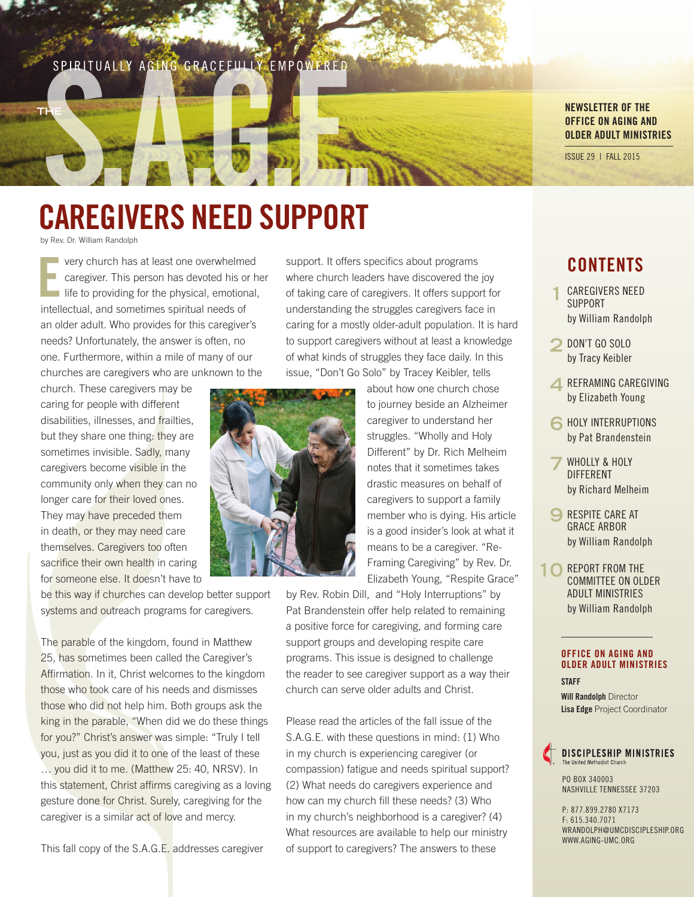### SPIRITUALLY AGING GRACEFULLY EMPOWERED



### NEWSLETTER OF THE OFFICE ON AGING AND OLDER ADULT MINISTRIES

ISSUE 29 | FALL 2015

# CAREGIVERS NEED SUPPORT

by Rev. Dr. William Randolph

T

very church has at least one overwhelmed caregiver. This person has devoted his or her life to providing for the physical, emotional, intellectual, and sometimes spiritual needs of an older adult. Who provides for this caregiver's needs? Unfortunately, the answer is often, no one. Furthermore, within a mile of many of our churches are caregivers who are unknown to the E

church. These caregivers may be caring for people with different disabilities, illnesses, and frailties, but they share one thing: they are sometimes invisible. Sadly, many caregivers become visible in the community only when they can no longer care for their loved ones. They may have preceded them in death, or they may need care themselves. Caregivers too often sacrifice their own health in caring for someone else. It doesn't have to

be this way if churches can develop better support systems and outreach programs for caregivers.

The parable of the kingdom, found in Matthew 25, has sometimes been called the Caregiver's Affirmation. In it, Christ welcomes to the kingdom those who took care of his needs and dismisses those who did not help him. Both groups ask the king in the parable, "When did we do these things for you?" Christ's answer was simple: "Truly I tell you, just as you did it to one of the least of these … you did it to me. (Matthew 25: 40, NRSV). In this statement, Christ affirms caregiving as a loving gesture done for Christ. Surely, caregiving for the caregiver is a similar act of love and mercy.

This fall copy of the S.A.G.E. addresses caregiver

support. It offers specifics about programs where church leaders have discovered the joy of taking care of caregivers. It offers support for understanding the struggles caregivers face in caring for a mostly older-adult population. It is hard to support caregivers without at least a knowledge of what kinds of struggles they face daily. In this issue, "Don't Go Solo" by Tracey Keibler, tells

> about how one church chose to journey beside an Alzheimer caregiver to understand her struggles. "Wholly and Holy Different" by Dr. Rich Melheim notes that it sometimes takes drastic measures on behalf of caregivers to support a family member who is dying. His article is a good insider's look at what it means to be a caregiver. "Re-Framing Caregiving" by Rev. Dr. Elizabeth Young, "Respite Grace"

by Rev. Robin Dill, and "Holy Interruptions" by Pat Brandenstein offer help related to remaining a positive force for caregiving, and forming care support groups and developing respite care programs. This issue is designed to challenge the reader to see caregiver support as a way their church can serve older adults and Christ.

Please read the articles of the fall issue of the S.A.G.E. with these questions in mind: (1) Who in my church is experiencing caregiver (or compassion) fatigue and needs spiritual support? (2) What needs do caregivers experience and how can my church fill these needs? (3) Who in my church's neighborhood is a caregiver? (4) What resources are available to help our ministry of support to caregivers? The answers to these

### **CONTENTS**

- **1** CAREGIVERS NEED SUPPORT by William Randolph
- **2** DON'T GO SOLO by Tracy Keibler
- **4** REFRAMING CAREGIVING by Elizabeth Young
- **6** HOLY INTERRUPTIONS by Pat Brandenstein
- **7** WHOLLY & HOLY DIFFERENT by Richard Melheim
- **9** RESPITE CARE AT GRACE ARBOR by William Randolph
- 10 REPORT FROM THE COMMITTEE ON OLDER ADULT MINISTRIES by William Randolph

#### OFFICE ON AGING AND OLDER ADULT MINISTRIES **STAFF**

Will Randolph Director Lisa Edge Project Coordinator

### DISCIPLESHIP MINISTRIES The United Methodist Church

PO BOX 340003 NASHVILLE TENNESSEE 37203

P: 877.899.2780 X7173 F: 615.340.7071 WRANDOLPH@UMCDISCIPLESHIP.ORG WWW.AGING-UMC.ORG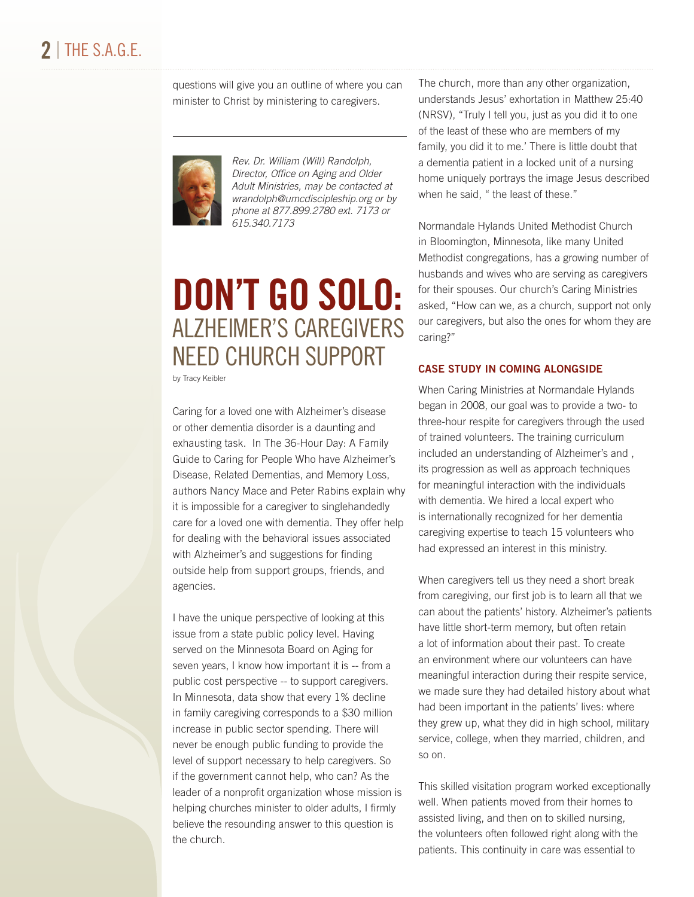### $2$  | The s.a.g.e.

questions will give you an outline of where you can minister to Christ by ministering to caregivers.



*Rev. Dr. William (Will) Randolph, Director, Office on Aging and Older Adult Ministries, may be contacted at wrandolph@umcdiscipleship.org or by phone at 877.899.2780 ext. 7173 or 615.340.7173*

## DON'T GO SOLO: ALZHEIMER'S CAREGIVERS NEED CHURCH SUPPORT

by Tracy Keibler

Caring for a loved one with Alzheimer's disease or other dementia disorder is a daunting and exhausting task. In The 36-Hour Day: A Family Guide to Caring for People Who have Alzheimer's Disease, Related Dementias, and Memory Loss, authors Nancy Mace and Peter Rabins explain why it is impossible for a caregiver to singlehandedly care for a loved one with dementia. They offer help for dealing with the behavioral issues associated with Alzheimer's and suggestions for finding outside help from support groups, friends, and agencies.

I have the unique perspective of looking at this issue from a state public policy level. Having served on the Minnesota Board on Aging for seven years, I know how important it is -- from a public cost perspective -- to support caregivers. In Minnesota, data show that every 1% decline in family caregiving corresponds to a \$30 million increase in public sector spending. There will never be enough public funding to provide the level of support necessary to help caregivers. So if the government cannot help, who can? As the leader of a nonprofit organization whose mission is helping churches minister to older adults, I firmly believe the resounding answer to this question is the church.

The church, more than any other organization, understands Jesus' exhortation in Matthew 25:40 (NRSV), "Truly I tell you, just as you did it to one of the least of these who are members of my family, you did it to me.' There is little doubt that a dementia patient in a locked unit of a nursing home uniquely portrays the image Jesus described when he said, " the least of these."

Normandale Hylands United Methodist Church in Bloomington, Minnesota, like many United Methodist congregations, has a growing number of husbands and wives who are serving as caregivers for their spouses. Our church's Caring Ministries asked, "How can we, as a church, support not only our caregivers, but also the ones for whom they are caring?"

### CASE STUDY IN COMING ALONGSIDE

When Caring Ministries at Normandale Hylands began in 2008, our goal was to provide a two- to three-hour respite for caregivers through the used of trained volunteers. The training curriculum included an understanding of Alzheimer's and , its progression as well as approach techniques for meaningful interaction with the individuals with dementia. We hired a local expert who is internationally recognized for her dementia caregiving expertise to teach 15 volunteers who had expressed an interest in this ministry.

When caregivers tell us they need a short break from caregiving, our first job is to learn all that we can about the patients' history. Alzheimer's patients have little short-term memory, but often retain a lot of information about their past. To create an environment where our volunteers can have meaningful interaction during their respite service, we made sure they had detailed history about what had been important in the patients' lives: where they grew up, what they did in high school, military service, college, when they married, children, and so on.

This skilled visitation program worked exceptionally well. When patients moved from their homes to assisted living, and then on to skilled nursing, the volunteers often followed right along with the patients. This continuity in care was essential to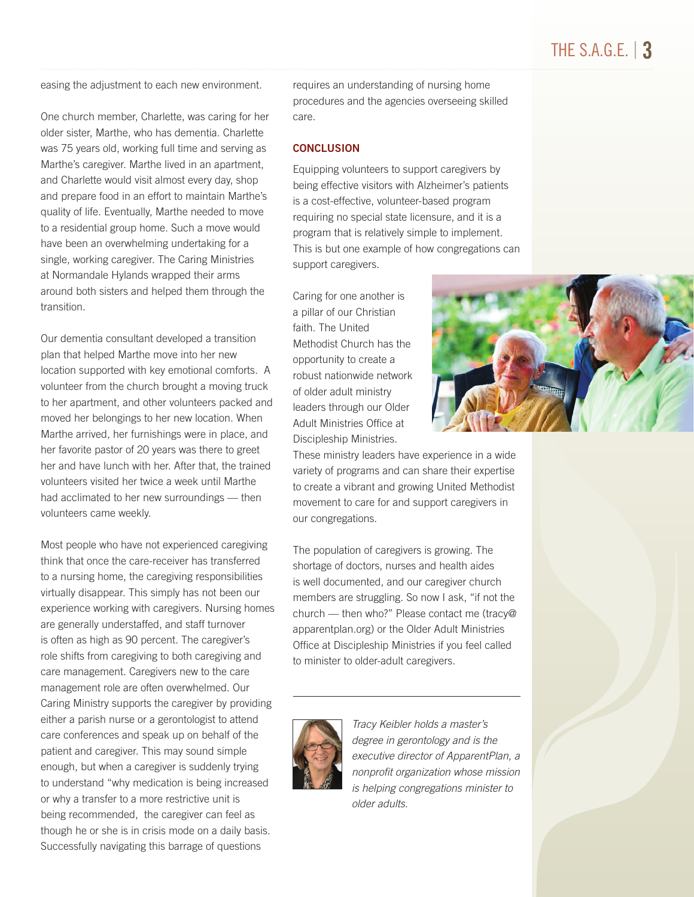### THE S.A.G.E.  $\vert$  3

easing the adjustment to each new environment.

One church member, Charlette, was caring for her older sister, Marthe, who has dementia. Charlette was 75 years old, working full time and serving as Marthe's caregiver. Marthe lived in an apartment, and Charlette would visit almost every day, shop and prepare food in an effort to maintain Marthe's quality of life. Eventually, Marthe needed to move to a residential group home. Such a move would have been an overwhelming undertaking for a single, working caregiver. The Caring Ministries at Normandale Hylands wrapped their arms around both sisters and helped them through the transition.

Our dementia consultant developed a transition plan that helped Marthe move into her new location supported with key emotional comforts. A volunteer from the church brought a moving truck to her apartment, and other volunteers packed and moved her belongings to her new location. When Marthe arrived, her furnishings were in place, and her favorite pastor of 20 years was there to greet her and have lunch with her. After that, the trained volunteers visited her twice a week until Marthe had acclimated to her new surroundings — then volunteers came weekly.

Most people who have not experienced caregiving think that once the care-receiver has transferred to a nursing home, the caregiving responsibilities virtually disappear. This simply has not been our experience working with caregivers. Nursing homes are generally understaffed, and staff turnover is often as high as 90 percent. The caregiver's role shifts from caregiving to both caregiving and care management. Caregivers new to the care management role are often overwhelmed. Our Caring Ministry supports the caregiver by providing either a parish nurse or a gerontologist to attend care conferences and speak up on behalf of the patient and caregiver. This may sound simple enough, but when a caregiver is suddenly trying to understand "why medication is being increased or why a transfer to a more restrictive unit is being recommended, the caregiver can feel as though he or she is in crisis mode on a daily basis. Successfully navigating this barrage of questions

requires an understanding of nursing home procedures and the agencies overseeing skilled care.

#### **CONCLUSION**

Equipping volunteers to support caregivers by being effective visitors with Alzheimer's patients is a cost-effective, volunteer-based program requiring no special state licensure, and it is a program that is relatively simple to implement. This is but one example of how congregations can support caregivers.

Caring for one another is a pillar of our Christian faith. The United Methodist Church has the opportunity to create a robust nationwide network of older adult ministry leaders through our Older Adult Ministries Office at Discipleship Ministries.

These ministry leaders have experience in a wide variety of programs and can share their expertise to create a vibrant and growing United Methodist movement to care for and support caregivers in our congregations.

The population of caregivers is growing. The shortage of doctors, nurses and health aides is well documented, and our caregiver church members are struggling. So now I ask, "if not the church — then who?" Please contact me (tracy@ apparentplan.org) or the Older Adult Ministries Office at Discipleship Ministries if you feel called to minister to older-adult caregivers.



*Tracy Keibler holds a master's degree in gerontology and is the executive director of ApparentPlan, a nonprofit organization whose mission is helping congregations minister to older adults.*

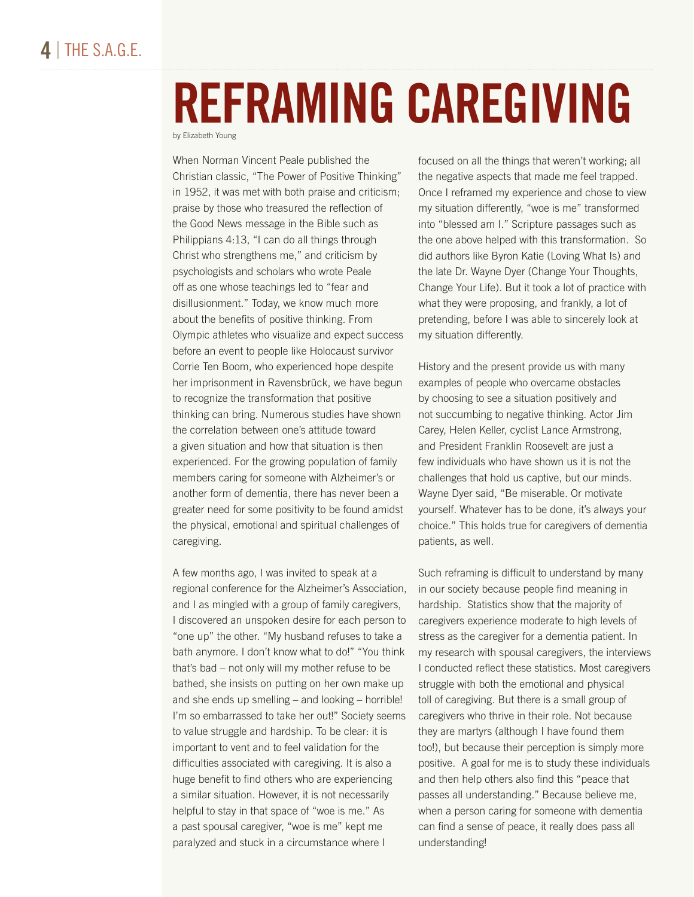## REFRAMING CAREGIVING by Elizabeth Young

When Norman Vincent Peale published the Christian classic, "The Power of Positive Thinking" in 1952, it was met with both praise and criticism; praise by those who treasured the reflection of the Good News message in the Bible such as Philippians 4:13, "I can do all things through Christ who strengthens me," and criticism by psychologists and scholars who wrote Peale off as one whose teachings led to "fear and disillusionment." Today, we know much more about the benefits of positive thinking. From Olympic athletes who visualize and expect success before an event to people like Holocaust survivor Corrie Ten Boom, who experienced hope despite her imprisonment in Ravensbrück, we have begun to recognize the transformation that positive thinking can bring. Numerous studies have shown the correlation between one's attitude toward a given situation and how that situation is then experienced. For the growing population of family members caring for someone with Alzheimer's or another form of dementia, there has never been a greater need for some positivity to be found amidst the physical, emotional and spiritual challenges of caregiving.

A few months ago, I was invited to speak at a regional conference for the Alzheimer's Association, and I as mingled with a group of family caregivers, I discovered an unspoken desire for each person to "one up" the other. "My husband refuses to take a bath anymore. I don't know what to do!" "You think that's bad – not only will my mother refuse to be bathed, she insists on putting on her own make up and she ends up smelling – and looking – horrible! I'm so embarrassed to take her out!" Society seems to value struggle and hardship. To be clear: it is important to vent and to feel validation for the difficulties associated with caregiving. It is also a huge benefit to find others who are experiencing a similar situation. However, it is not necessarily helpful to stay in that space of "woe is me." As a past spousal caregiver, "woe is me" kept me paralyzed and stuck in a circumstance where I

focused on all the things that weren't working; all the negative aspects that made me feel trapped. Once I reframed my experience and chose to view my situation differently, "woe is me" transformed into "blessed am I." Scripture passages such as the one above helped with this transformation. So did authors like Byron Katie (Loving What Is) and the late Dr. Wayne Dyer (Change Your Thoughts, Change Your Life). But it took a lot of practice with what they were proposing, and frankly, a lot of pretending, before I was able to sincerely look at my situation differently.

History and the present provide us with many examples of people who overcame obstacles by choosing to see a situation positively and not succumbing to negative thinking. Actor Jim Carey, Helen Keller, cyclist Lance Armstrong, and President Franklin Roosevelt are just a few individuals who have shown us it is not the challenges that hold us captive, but our minds. Wayne Dyer said, "Be miserable. Or motivate yourself. Whatever has to be done, it's always your choice." This holds true for caregivers of dementia patients, as well.

Such reframing is difficult to understand by many in our society because people find meaning in hardship. Statistics show that the majority of caregivers experience moderate to high levels of stress as the caregiver for a dementia patient. In my research with spousal caregivers, the interviews I conducted reflect these statistics. Most caregivers struggle with both the emotional and physical toll of caregiving. But there is a small group of caregivers who thrive in their role. Not because they are martyrs (although I have found them too!), but because their perception is simply more positive. A goal for me is to study these individuals and then help others also find this "peace that passes all understanding." Because believe me, when a person caring for someone with dementia can find a sense of peace, it really does pass all understanding!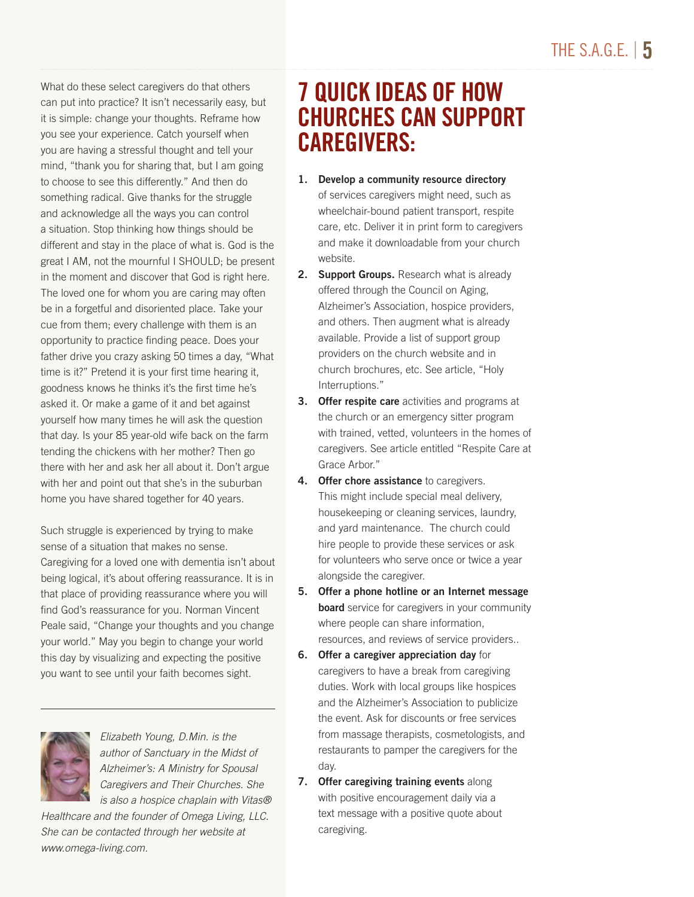What do these select caregivers do that others can put into practice? It isn't necessarily easy, but it is simple: change your thoughts. Reframe how you see your experience. Catch yourself when you are having a stressful thought and tell your mind, "thank you for sharing that, but I am going to choose to see this differently." And then do something radical. Give thanks for the struggle and acknowledge all the ways you can control a situation. Stop thinking how things should be different and stay in the place of what is. God is the great I AM, not the mournful I SHOULD; be present in the moment and discover that God is right here. The loved one for whom you are caring may often be in a forgetful and disoriented place. Take your cue from them; every challenge with them is an opportunity to practice finding peace. Does your father drive you crazy asking 50 times a day, "What time is it?" Pretend it is your first time hearing it, goodness knows he thinks it's the first time he's asked it. Or make a game of it and bet against yourself how many times he will ask the question that day. Is your 85 year-old wife back on the farm tending the chickens with her mother? Then go there with her and ask her all about it. Don't argue with her and point out that she's in the suburban home you have shared together for 40 years.

Such struggle is experienced by trying to make sense of a situation that makes no sense. Caregiving for a loved one with dementia isn't about being logical, it's about offering reassurance. It is in that place of providing reassurance where you will find God's reassurance for you. Norman Vincent Peale said, "Change your thoughts and you change your world." May you begin to change your world this day by visualizing and expecting the positive you want to see until your faith becomes sight.



*Elizabeth Young, D.Min. is the author of Sanctuary in the Midst of Alzheimer's: A Ministry for Spousal Caregivers and Their Churches. She is also a hospice chaplain with Vitas®* 

*Healthcare and the founder of Omega Living, LLC. She can be contacted through her website at www.omega-living.com.*

## 7 QUICK IDEAS OF HOW CHURCHES CAN SUPPORT CAREGIVERS:

- 1. Develop a community resource directory of services caregivers might need, such as wheelchair-bound patient transport, respite care, etc. Deliver it in print form to caregivers and make it downloadable from your church website.
- 2. Support Groups. Research what is already offered through the Council on Aging, Alzheimer's Association, hospice providers, and others. Then augment what is already available. Provide a list of support group providers on the church website and in church brochures, etc. See article, "Holy Interruptions."
- **3. Offer respite care** activities and programs at the church or an emergency sitter program with trained, vetted, volunteers in the homes of caregivers. See article entitled "Respite Care at Grace Arbor."
- 4. Offer chore assistance to caregivers. This might include special meal delivery, housekeeping or cleaning services, laundry, and yard maintenance. The church could hire people to provide these services or ask for volunteers who serve once or twice a year alongside the caregiver.
- 5. Offer a phone hotline or an Internet message **board** service for caregivers in your community where people can share information, resources, and reviews of service providers..
- 6. Offer a caregiver appreciation day for caregivers to have a break from caregiving duties. Work with local groups like hospices and the Alzheimer's Association to publicize the event. Ask for discounts or free services from massage therapists, cosmetologists, and restaurants to pamper the caregivers for the day.
- 7. Offer caregiving training events along with positive encouragement daily via a text message with a positive quote about caregiving.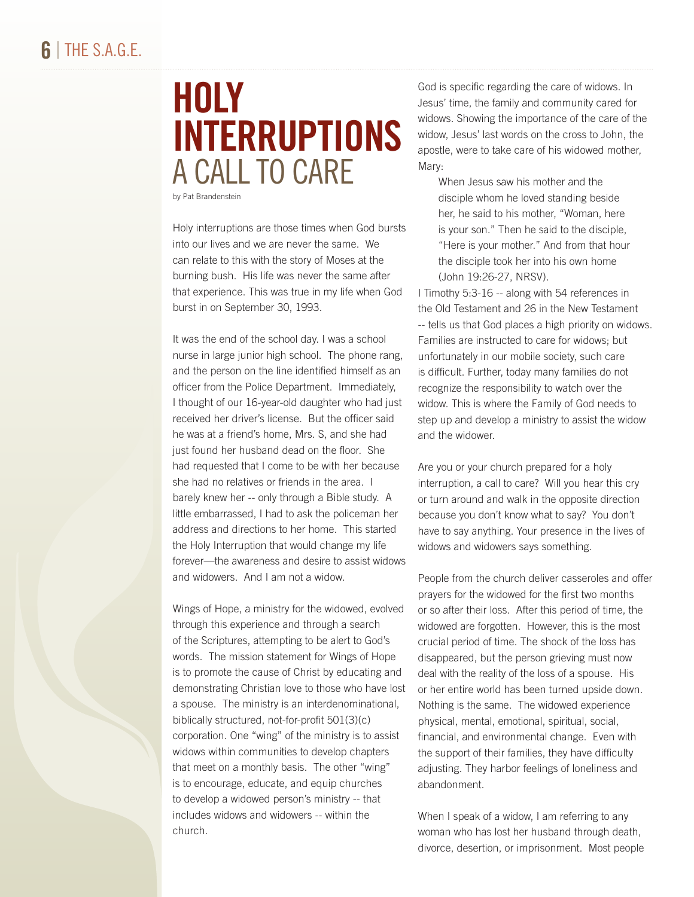# HOLY INTERRUPTIONS A CALL TO CARE

by Pat Brandenstein

Holy interruptions are those times when God bursts into our lives and we are never the same. We can relate to this with the story of Moses at the burning bush. His life was never the same after that experience. This was true in my life when God burst in on September 30, 1993.

It was the end of the school day. I was a school nurse in large junior high school. The phone rang, and the person on the line identified himself as an officer from the Police Department. Immediately, I thought of our 16-year-old daughter who had just received her driver's license. But the officer said he was at a friend's home, Mrs. S, and she had just found her husband dead on the floor. She had requested that I come to be with her because she had no relatives or friends in the area. I barely knew her -- only through a Bible study. A little embarrassed, I had to ask the policeman her address and directions to her home. This started the Holy Interruption that would change my life forever—the awareness and desire to assist widows and widowers. And I am not a widow.

Wings of Hope, a ministry for the widowed, evolved through this experience and through a search of the Scriptures, attempting to be alert to God's words. The mission statement for Wings of Hope is to promote the cause of Christ by educating and demonstrating Christian love to those who have lost a spouse. The ministry is an interdenominational, biblically structured, not-for-profit 501(3)(c) corporation. One "wing" of the ministry is to assist widows within communities to develop chapters that meet on a monthly basis. The other "wing" is to encourage, educate, and equip churches to develop a widowed person's ministry -- that includes widows and widowers -- within the church.

God is specific regarding the care of widows. In Jesus' time, the family and community cared for widows. Showing the importance of the care of the widow, Jesus' last words on the cross to John, the apostle, were to take care of his widowed mother, Mary:

When Jesus saw his mother and the disciple whom he loved standing beside her, he said to his mother, "Woman, here is your son." Then he said to the disciple, "Here is your mother." And from that hour the disciple took her into his own home (John 19:26-27, NRSV).

I Timothy 5:3-16 -- along with 54 references in the Old Testament and 26 in the New Testament -- tells us that God places a high priority on widows. Families are instructed to care for widows; but unfortunately in our mobile society, such care is difficult. Further, today many families do not recognize the responsibility to watch over the widow. This is where the Family of God needs to step up and develop a ministry to assist the widow and the widower.

Are you or your church prepared for a holy interruption, a call to care? Will you hear this cry or turn around and walk in the opposite direction because you don't know what to say? You don't have to say anything. Your presence in the lives of widows and widowers says something.

People from the church deliver casseroles and offer prayers for the widowed for the first two months or so after their loss. After this period of time, the widowed are forgotten. However, this is the most crucial period of time. The shock of the loss has disappeared, but the person grieving must now deal with the reality of the loss of a spouse. His or her entire world has been turned upside down. Nothing is the same. The widowed experience physical, mental, emotional, spiritual, social, financial, and environmental change. Even with the support of their families, they have difficulty adjusting. They harbor feelings of loneliness and abandonment.

When I speak of a widow, I am referring to any woman who has lost her husband through death, divorce, desertion, or imprisonment. Most people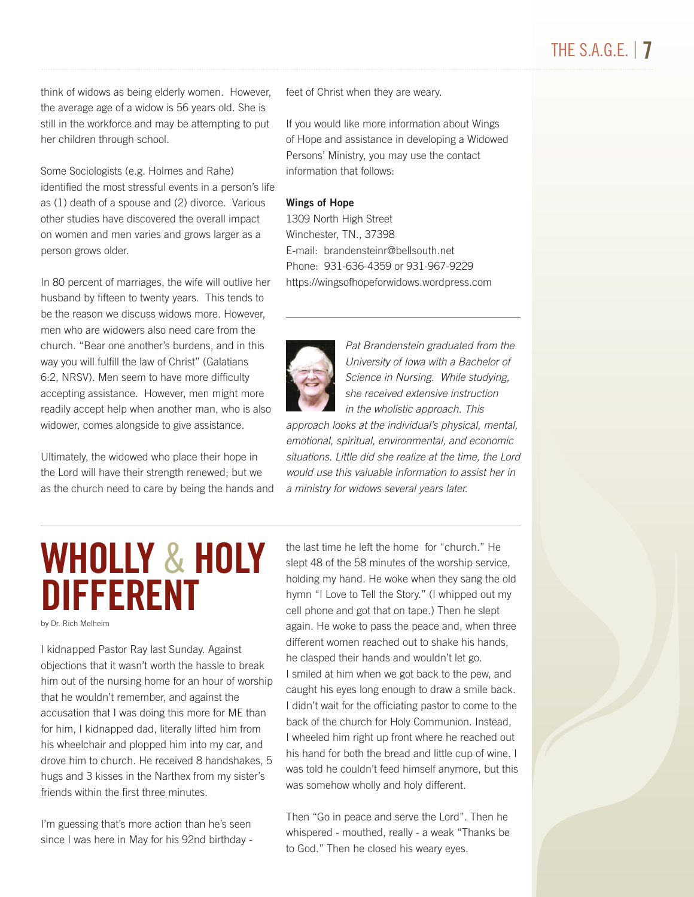think of widows as being elderly women. However, the average age of a widow is 56 years old. She is still in the workforce and may be attempting to put her children through school.

Some Sociologists (e.g. Holmes and Rahe) identified the most stressful events in a person's life as (1) death of a spouse and (2) divorce. Various other studies have discovered the overall impact on women and men varies and grows larger as a person grows older.

In 80 percent of marriages, the wife will outlive her husband by fifteen to twenty years. This tends to be the reason we discuss widows more. However, men who are widowers also need care from the church. "Bear one another's burdens, and in this way you will fulfill the law of Christ" (Galatians 6:2, NRSV). Men seem to have more difficulty accepting assistance. However, men might more readily accept help when another man, who is also widower, comes alongside to give assistance.

Ultimately, the widowed who place their hope in the Lord will have their strength renewed; but we as the church need to care by being the hands and feet of Christ when they are weary.

If you would like more information about Wings of Hope and assistance in developing a Widowed Persons' Ministry, you may use the contact information that follows:

#### Wings of Hope

1309 North High Street Winchester, TN., 37398 E-mail: brandensteinr@bellsouth.net Phone: 931-636-4359 or 931-967-9229 https://wingsofhopeforwidows.wordpress.com



*Pat Brandenstein graduated from the University of Iowa with a Bachelor of Science in Nursing. While studying, she received extensive instruction in the wholistic approach. This* 

*approach looks at the individual's physical, mental, emotional, spiritual, environmental, and economic situations. Little did she realize at the time, the Lord would use this valuable information to assist her in a ministry for widows several years later.*

# WHOLLY & HOLY DIFFERENT

by Dr. Rich Melheim

I kidnapped Pastor Ray last Sunday. Against objections that it wasn't worth the hassle to break him out of the nursing home for an hour of worship that he wouldn't remember, and against the accusation that I was doing this more for ME than for him, I kidnapped dad, literally lifted him from his wheelchair and plopped him into my car, and drove him to church. He received 8 handshakes, 5 hugs and 3 kisses in the Narthex from my sister's friends within the first three minutes.

I'm guessing that's more action than he's seen since I was here in May for his 92nd birthday - the last time he left the home for "church." He slept 48 of the 58 minutes of the worship service, holding my hand. He woke when they sang the old hymn "I Love to Tell the Story." (I whipped out my cell phone and got that on tape.) Then he slept again. He woke to pass the peace and, when three different women reached out to shake his hands, he clasped their hands and wouldn't let go. I smiled at him when we got back to the pew, and caught his eyes long enough to draw a smile back. I didn't wait for the officiating pastor to come to the back of the church for Holy Communion. Instead, I wheeled him right up front where he reached out his hand for both the bread and little cup of wine. I was told he couldn't feed himself anymore, but this was somehow wholly and holy different.

Then "Go in peace and serve the Lord". Then he whispered - mouthed, really - a weak "Thanks be to God." Then he closed his weary eyes.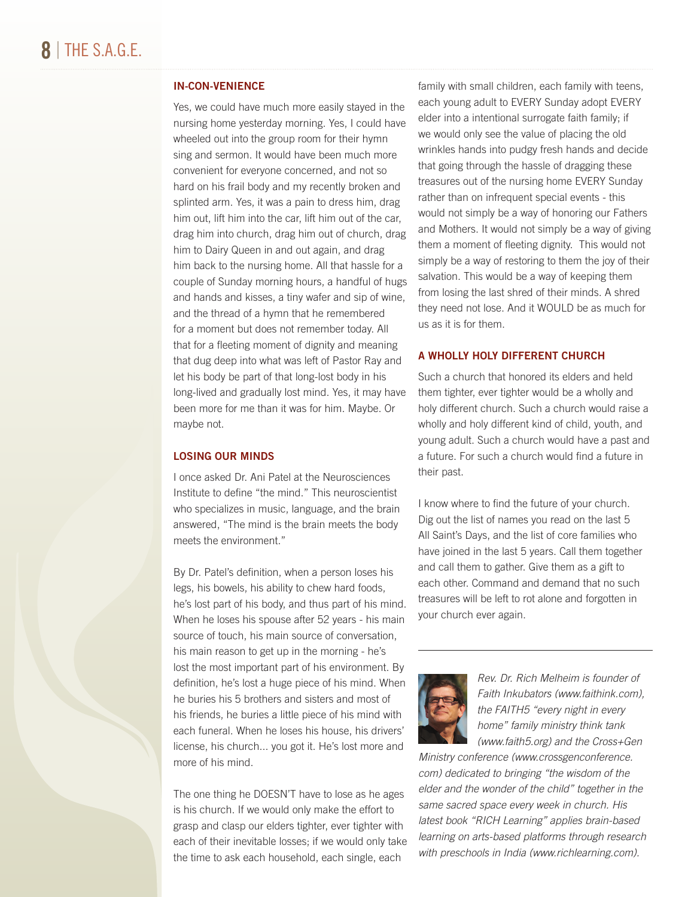### IN-CON-VENIENCE

Yes, we could have much more easily stayed in the nursing home yesterday morning. Yes, I could have wheeled out into the group room for their hymn sing and sermon. It would have been much more convenient for everyone concerned, and not so hard on his frail body and my recently broken and splinted arm. Yes, it was a pain to dress him, drag him out, lift him into the car, lift him out of the car, drag him into church, drag him out of church, drag him to Dairy Queen in and out again, and drag him back to the nursing home. All that hassle for a couple of Sunday morning hours, a handful of hugs and hands and kisses, a tiny wafer and sip of wine, and the thread of a hymn that he remembered for a moment but does not remember today. All that for a fleeting moment of dignity and meaning that dug deep into what was left of Pastor Ray and let his body be part of that long-lost body in his long-lived and gradually lost mind. Yes, it may have been more for me than it was for him. Maybe. Or maybe not.

### LOSING OUR MINDS

I once asked Dr. Ani Patel at the Neurosciences Institute to define "the mind." This neuroscientist who specializes in music, language, and the brain answered, "The mind is the brain meets the body meets the environment."

By Dr. Patel's definition, when a person loses his legs, his bowels, his ability to chew hard foods, he's lost part of his body, and thus part of his mind. When he loses his spouse after 52 years - his main source of touch, his main source of conversation, his main reason to get up in the morning - he's lost the most important part of his environment. By definition, he's lost a huge piece of his mind. When he buries his 5 brothers and sisters and most of his friends, he buries a little piece of his mind with each funeral. When he loses his house, his drivers' license, his church... you got it. He's lost more and more of his mind.

The one thing he DOESN'T have to lose as he ages is his church. If we would only make the effort to grasp and clasp our elders tighter, ever tighter with each of their inevitable losses; if we would only take the time to ask each household, each single, each

family with small children, each family with teens, each young adult to EVERY Sunday adopt EVERY elder into a intentional surrogate faith family; if we would only see the value of placing the old wrinkles hands into pudgy fresh hands and decide that going through the hassle of dragging these treasures out of the nursing home EVERY Sunday rather than on infrequent special events - this would not simply be a way of honoring our Fathers and Mothers. It would not simply be a way of giving them a moment of fleeting dignity. This would not simply be a way of restoring to them the joy of their salvation. This would be a way of keeping them from losing the last shred of their minds. A shred they need not lose. And it WOULD be as much for us as it is for them.

### A WHOLLY HOLY DIFFERENT CHURCH

Such a church that honored its elders and held them tighter, ever tighter would be a wholly and holy different church. Such a church would raise a wholly and holy different kind of child, youth, and young adult. Such a church would have a past and a future. For such a church would find a future in their past.

I know where to find the future of your church. Dig out the list of names you read on the last 5 All Saint's Days, and the list of core families who have joined in the last 5 years. Call them together and call them to gather. Give them as a gift to each other. Command and demand that no such treasures will be left to rot alone and forgotten in your church ever again.



*Rev. Dr. Rich Melheim is founder of Faith Inkubators (www.faithink.com), the FAITH5 "every night in every home" family ministry think tank (www.faith5.org) and the Cross+Gen* 

*Ministry conference (www.crossgenconference. com) dedicated to bringing "the wisdom of the elder and the wonder of the child" together in the same sacred space every week in church. His latest book "RICH Learning" applies brain-based learning on arts-based platforms through research with preschools in India (www.richlearning.com).*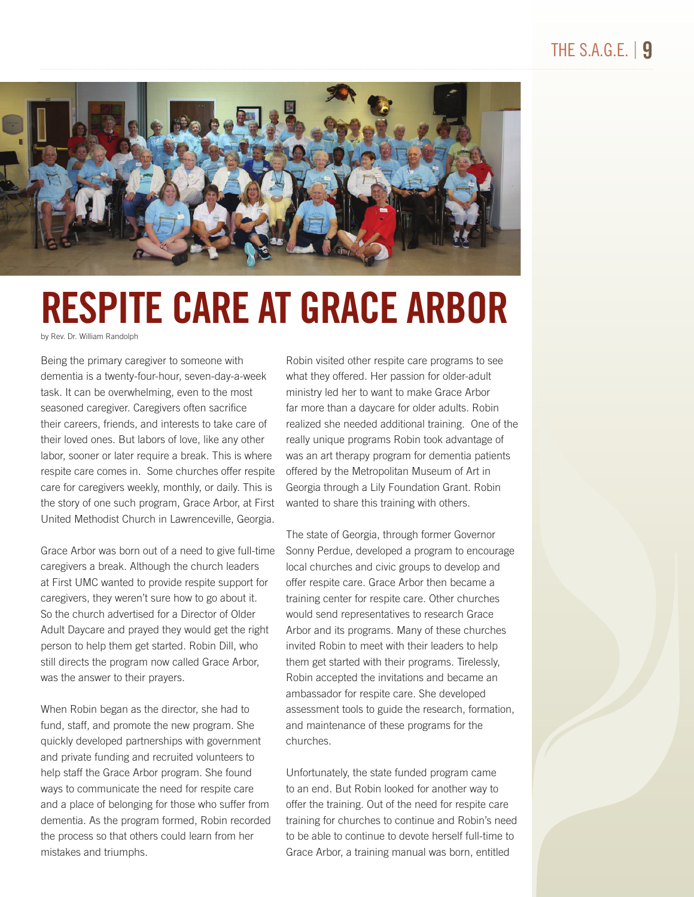

# RESPITE CARE AT GRACE ARBOR

by Rev. Dr. William Randolph

Being the primary caregiver to someone with dementia is a twenty-four-hour, seven-day-a-week task. It can be overwhelming, even to the most seasoned caregiver. Caregivers often sacrifice their careers, friends, and interests to take care of their loved ones. But labors of love, like any other labor, sooner or later require a break. This is where respite care comes in. Some churches offer respite care for caregivers weekly, monthly, or daily. This is the story of one such program, Grace Arbor, at First United Methodist Church in Lawrenceville, Georgia.

Grace Arbor was born out of a need to give full-time caregivers a break. Although the church leaders at First UMC wanted to provide respite support for caregivers, they weren't sure how to go about it. So the church advertised for a Director of Older Adult Daycare and prayed they would get the right person to help them get started. Robin Dill, who still directs the program now called Grace Arbor, was the answer to their prayers.

When Robin began as the director, she had to fund, staff, and promote the new program. She quickly developed partnerships with government and private funding and recruited volunteers to help staff the Grace Arbor program. She found ways to communicate the need for respite care and a place of belonging for those who suffer from dementia. As the program formed, Robin recorded the process so that others could learn from her mistakes and triumphs.

Robin visited other respite care programs to see what they offered. Her passion for older-adult ministry led her to want to make Grace Arbor far more than a daycare for older adults. Robin realized she needed additional training. One of the really unique programs Robin took advantage of was an art therapy program for dementia patients offered by the Metropolitan Museum of Art in Georgia through a Lily Foundation Grant. Robin wanted to share this training with others.

The state of Georgia, through former Governor Sonny Perdue, developed a program to encourage local churches and civic groups to develop and offer respite care. Grace Arbor then became a training center for respite care. Other churches would send representatives to research Grace Arbor and its programs. Many of these churches invited Robin to meet with their leaders to help them get started with their programs. Tirelessly, Robin accepted the invitations and became an ambassador for respite care. She developed assessment tools to guide the research, formation, and maintenance of these programs for the churches.

Unfortunately, the state funded program came to an end. But Robin looked for another way to offer the training. Out of the need for respite care training for churches to continue and Robin's need to be able to continue to devote herself full-time to Grace Arbor, a training manual was born, entitled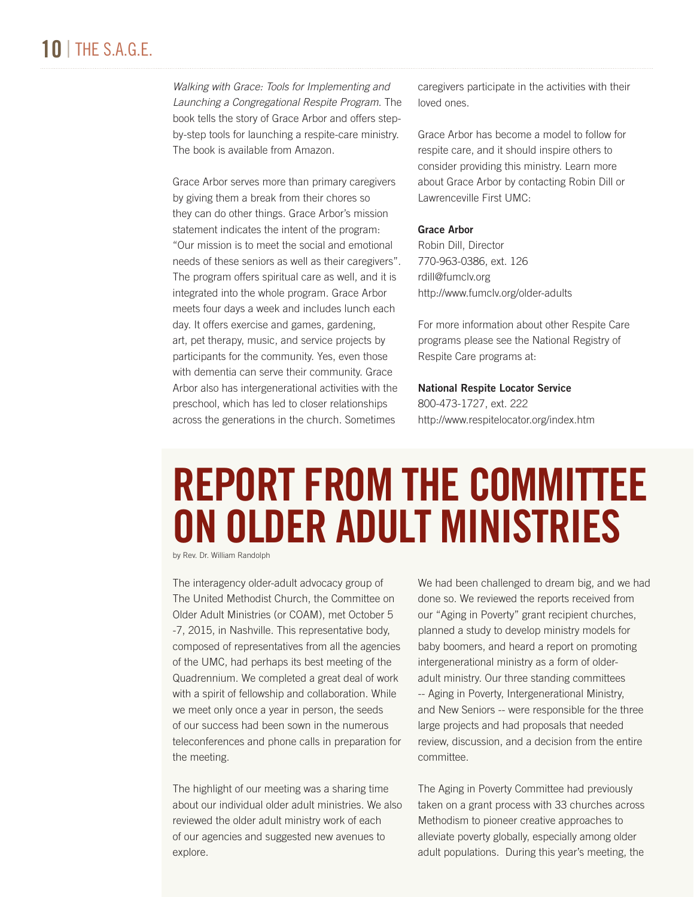### 10 | THE S.A.G.E.

*Walking with Grace: Tools for Implementing and Launching a Congregational Respite Program*. The book tells the story of Grace Arbor and offers stepby-step tools for launching a respite-care ministry. The book is available from Amazon.

Grace Arbor serves more than primary caregivers by giving them a break from their chores so they can do other things. Grace Arbor's mission statement indicates the intent of the program: "Our mission is to meet the social and emotional needs of these seniors as well as their caregivers". The program offers spiritual care as well, and it is integrated into the whole program. Grace Arbor meets four days a week and includes lunch each day. It offers exercise and games, gardening, art, pet therapy, music, and service projects by participants for the community. Yes, even those with dementia can serve their community. Grace Arbor also has intergenerational activities with the preschool, which has led to closer relationships across the generations in the church. Sometimes

caregivers participate in the activities with their loved ones.

Grace Arbor has become a model to follow for respite care, and it should inspire others to consider providing this ministry. Learn more about Grace Arbor by contacting Robin Dill or Lawrenceville First UMC:

#### Grace Arbor

Robin Dill, Director 770-963-0386, ext. 126 rdill@fumclv.org http://www.fumclv.org/older-adults

For more information about other Respite Care programs please see the National Registry of Respite Care programs at:

### National Respite Locator Service 800-473-1727, ext. 222 http://www.respitelocator.org/index.htm

# REPORT FROM THE COMMITTEE ON OLDER ADULT MINISTRIES

by Rev. Dr. William Randolph

The interagency older-adult advocacy group of The United Methodist Church, the Committee on Older Adult Ministries (or COAM), met October 5 -7, 2015, in Nashville. This representative body, composed of representatives from all the agencies of the UMC, had perhaps its best meeting of the Quadrennium. We completed a great deal of work with a spirit of fellowship and collaboration. While we meet only once a year in person, the seeds of our success had been sown in the numerous teleconferences and phone calls in preparation for the meeting.

The highlight of our meeting was a sharing time about our individual older adult ministries. We also reviewed the older adult ministry work of each of our agencies and suggested new avenues to explore.

We had been challenged to dream big, and we had done so. We reviewed the reports received from our "Aging in Poverty" grant recipient churches, planned a study to develop ministry models for baby boomers, and heard a report on promoting intergenerational ministry as a form of olderadult ministry. Our three standing committees -- Aging in Poverty, Intergenerational Ministry, and New Seniors -- were responsible for the three large projects and had proposals that needed review, discussion, and a decision from the entire committee.

The Aging in Poverty Committee had previously taken on a grant process with 33 churches across Methodism to pioneer creative approaches to alleviate poverty globally, especially among older adult populations. During this year's meeting, the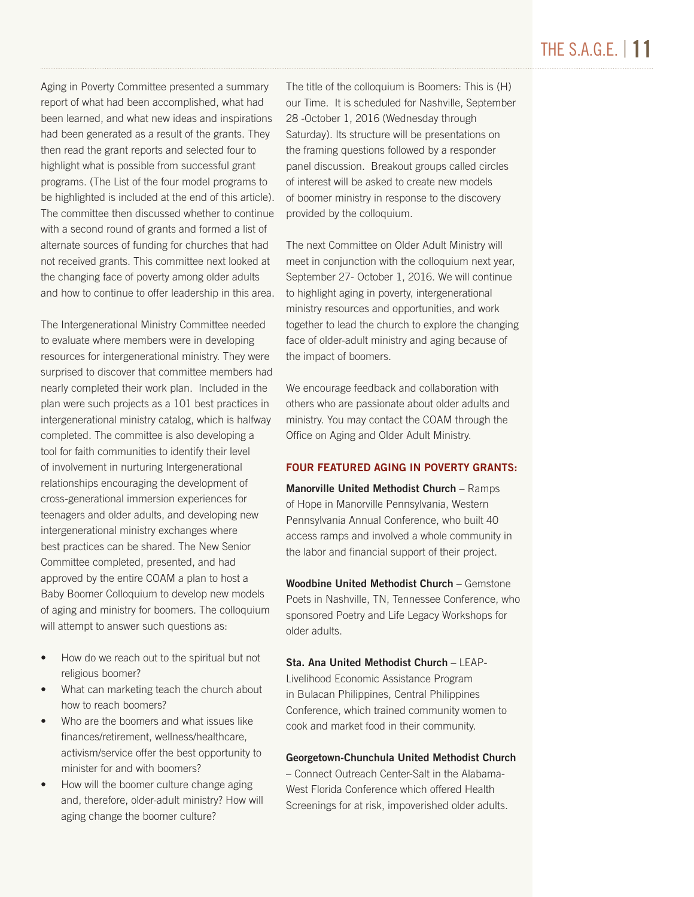### THE S.A.G.E. | 11

Aging in Poverty Committee presented a summary report of what had been accomplished, what had been learned, and what new ideas and inspirations had been generated as a result of the grants. They then read the grant reports and selected four to highlight what is possible from successful grant programs. (The List of the four model programs to be highlighted is included at the end of this article). The committee then discussed whether to continue with a second round of grants and formed a list of alternate sources of funding for churches that had not received grants. This committee next looked at the changing face of poverty among older adults and how to continue to offer leadership in this area.

The Intergenerational Ministry Committee needed to evaluate where members were in developing resources for intergenerational ministry. They were surprised to discover that committee members had nearly completed their work plan. Included in the plan were such projects as a 101 best practices in intergenerational ministry catalog, which is halfway completed. The committee is also developing a tool for faith communities to identify their level of involvement in nurturing Intergenerational relationships encouraging the development of cross-generational immersion experiences for teenagers and older adults, and developing new intergenerational ministry exchanges where best practices can be shared. The New Senior Committee completed, presented, and had approved by the entire COAM a plan to host a Baby Boomer Colloquium to develop new models of aging and ministry for boomers. The colloquium will attempt to answer such questions as:

- How do we reach out to the spiritual but not religious boomer?
- What can marketing teach the church about how to reach boomers?
- Who are the boomers and what issues like finances/retirement, wellness/healthcare, activism/service offer the best opportunity to minister for and with boomers?
- How will the boomer culture change aging and, therefore, older-adult ministry? How will aging change the boomer culture?

The title of the colloquium is Boomers: This is (H) our Time. It is scheduled for Nashville, September 28 -October 1, 2016 (Wednesday through Saturday). Its structure will be presentations on the framing questions followed by a responder panel discussion. Breakout groups called circles of interest will be asked to create new models of boomer ministry in response to the discovery provided by the colloquium.

The next Committee on Older Adult Ministry will meet in conjunction with the colloquium next year, September 27- October 1, 2016. We will continue to highlight aging in poverty, intergenerational ministry resources and opportunities, and work together to lead the church to explore the changing face of older-adult ministry and aging because of the impact of boomers.

We encourage feedback and collaboration with others who are passionate about older adults and ministry. You may contact the COAM through the Office on Aging and Older Adult Ministry.

### FOUR FEATURED AGING IN POVERTY GRANTS:

Manorville United Methodist Church – Ramps of Hope in Manorville Pennsylvania, Western Pennsylvania Annual Conference, who built 40 access ramps and involved a whole community in the labor and financial support of their project.

Woodbine United Methodist Church – Gemstone Poets in Nashville, TN, Tennessee Conference, who sponsored Poetry and Life Legacy Workshops for older adults.

Sta. Ana United Methodist Church – LEAP-Livelihood Economic Assistance Program in Bulacan Philippines, Central Philippines Conference, which trained community women to cook and market food in their community.

### Georgetown-Chunchula United Methodist Church

– Connect Outreach Center-Salt in the Alabama-West Florida Conference which offered Health Screenings for at risk, impoverished older adults.